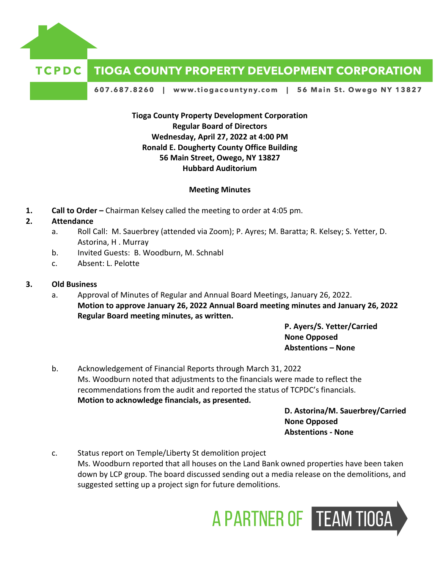

# **TIOGA COUNTY PROPERTY DEVELOPMENT CORPORATION**

607.687.8260 | www.tiogacountyny.com | 56 Main St. Owego NY 13827

**Tioga County Property Development Corporation Regular Board of Directors Wednesday, April 27, 2022 at 4:00 PM Ronald E. Dougherty County Office Building 56 Main Street, Owego, NY 13827 Hubbard Auditorium**

#### **Meeting Minutes**

**1. Call to Order –** Chairman Kelsey called the meeting to order at 4:05 pm.

#### **2. Attendance**

- a. Roll Call: M. Sauerbrey (attended via Zoom); P. Ayres; M. Baratta; R. Kelsey; S. Yetter, D. Astorina, H . Murray
- b. Invited Guests: B. Woodburn, M. Schnabl
- c. Absent: L. Pelotte

#### **3. Old Business**

a. Approval of Minutes of Regular and Annual Board Meetings, January 26, 2022. **Motion to approve January 26, 2022 Annual Board meeting minutes and January 26, 2022 Regular Board meeting minutes, as written.**

> **P. Ayers/S. Yetter/Carried None Opposed Abstentions – None**

b. Acknowledgement of Financial Reports through March 31, 2022 Ms. Woodburn noted that adjustments to the financials were made to reflect the recommendations from the audit and reported the status of TCPDC's financials. **Motion to acknowledge financials, as presented.**

**D. Astorina/M. Sauerbrey/Carried None Opposed Abstentions - None**

c. Status report on Temple/Liberty St demolition project Ms. Woodburn reported that all houses on the Land Bank owned properties have been taken down by LCP group. The board discussed sending out a media release on the demolitions, and suggested setting up a project sign for future demolitions.

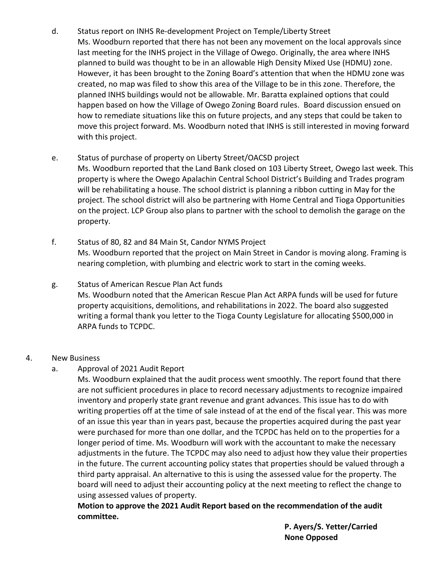d. Status report on INHS Re-development Project on Temple/Liberty Street Ms. Woodburn reported that there has not been any movement on the local approvals since last meeting for the INHS project in the Village of Owego. Originally, the area where INHS planned to build was thought to be in an allowable High Density Mixed Use (HDMU) zone. However, it has been brought to the Zoning Board's attention that when the HDMU zone was created, no map was filed to show this area of the Village to be in this zone. Therefore, the planned INHS buildings would not be allowable. Mr. Baratta explained options that could happen based on how the Village of Owego Zoning Board rules. Board discussion ensued on how to remediate situations like this on future projects, and any steps that could be taken to move this project forward. Ms. Woodburn noted that INHS is still interested in moving forward with this project.

### e. Status of purchase of property on Liberty Street/OACSD project

Ms. Woodburn reported that the Land Bank closed on 103 Liberty Street, Owego last week. This property is where the Owego Apalachin Central School District's Building and Trades program will be rehabilitating a house. The school district is planning a ribbon cutting in May for the project. The school district will also be partnering with Home Central and Tioga Opportunities on the project. LCP Group also plans to partner with the school to demolish the garage on the property.

- f. Status of 80, 82 and 84 Main St, Candor NYMS Project Ms. Woodburn reported that the project on Main Street in Candor is moving along. Framing is nearing completion, with plumbing and electric work to start in the coming weeks.
- g. Status of American Rescue Plan Act funds Ms. Woodburn noted that the American Rescue Plan Act ARPA funds will be used for future property acquisitions, demolitions, and rehabilitations in 2022. The board also suggested writing a formal thank you letter to the Tioga County Legislature for allocating \$500,000 in ARPA funds to TCPDC.

## 4. New Business

a. Approval of 2021 Audit Report

Ms. Woodburn explained that the audit process went smoothly. The report found that there are not sufficient procedures in place to record necessary adjustments to recognize impaired inventory and properly state grant revenue and grant advances. This issue has to do with writing properties off at the time of sale instead of at the end of the fiscal year. This was more of an issue this year than in years past, because the properties acquired during the past year were purchased for more than one dollar, and the TCPDC has held on to the properties for a longer period of time. Ms. Woodburn will work with the accountant to make the necessary adjustments in the future. The TCPDC may also need to adjust how they value their properties in the future. The current accounting policy states that properties should be valued through a third party appraisal. An alternative to this is using the assessed value for the property. The board will need to adjust their accounting policy at the next meeting to reflect the change to using assessed values of property.

**Motion to approve the 2021 Audit Report based on the recommendation of the audit committee.**

> **P. Ayers/S. Yetter/Carried None Opposed**